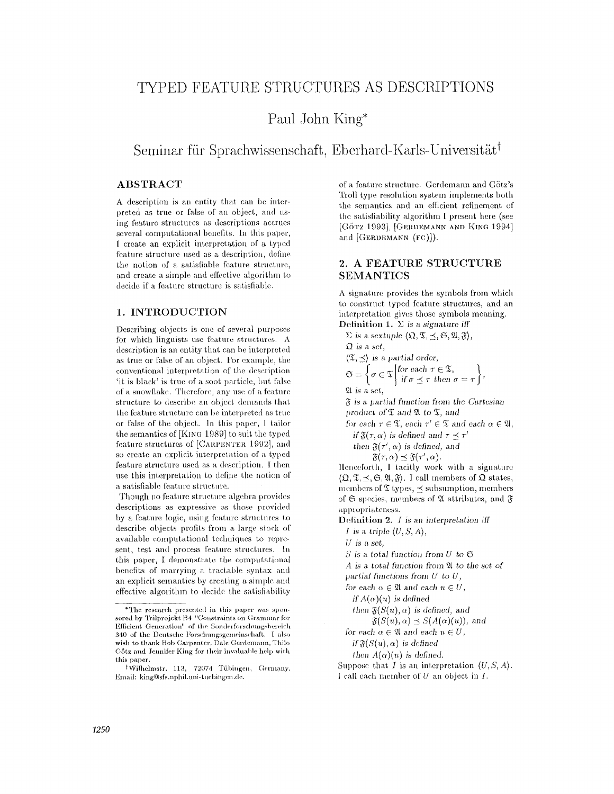# **TYPED FEATURE STRUCTURES AS DESCRIPTIONS**

## Paul John King\*

**Seminar für Sprachwissenschaft, Eberhard-Karls-Universität<sup>†</sup>** 

## **ABSTRACT**

A description is an entity that can be interpreted as true or false of an object, and using feature structures as descriptions accrues several computational benefits. In this paper, 1 create an explicit interpretation of a typed feature structure used as a description, define the notion of a satisfiable feature structure, and create a simple and effective algorithm to decide if a feature structure is satisfiable.

#### **1. INTRODUCTION**

Describing objects is one of several purposes for which linguists use feature structures.  $A$ description is an entity that can be interpreted as true or false of an object. For example, the conventional interpretation of the description 'it is black' is true of a soot particle, but false of a snowflake. Therefore, any use of a feature structure to describe an object demands that the feature structure can be interpreted as true or false of the object. In this paper, I tailor the semantics of [KING 1989] to suit the typed feature structures of [CARPENTER 1992], and so create an explicit interpretation of a typed feature structure used as a description. I then use this interpretation to define the notion of a satisfiable feature structure.

Though no feature structure algebra provides descriptions as expressive as those provided by a feature logic, using feature structures to describe objects profits from a large stock of available computational techniques to represent, test and process feature structures. In this paper, I demonstrate the computational benefits of marrying a tractable syntax and an explicit semantics by creating a simple and effective algorithm to decide the satisfiability of a feature structure. Gerdemann and Götz's 'Doll type resolution system implements both the semantics and an efficient refinement of the satisfiability algorithm I present here (see [GÖTZ 1993], [GERDEMANN AND KING 1994] and  $[GERDEMANN (FC)]$ ).

#### **2. A FEATURE STRUCTURE**  SEMANTICS

A signature provides the symbols from which to construct typed feature structures, and an interpretation gives those symbols meaning. Definition 1.  $\Sigma$  is a signature iff

 $\Sigma$  is a sextuple  $\langle \mathfrak{Q}, \mathfrak{T}, \preceq, \mathfrak{S}, \mathfrak{A}, \mathfrak{F} \rangle$ , *is a set,*   $\langle \mathfrak{T}, \prec \rangle$  *is a partial order,*  $\int_{\mathbb{R}^d} \mathcal{F}$  for each  $\tau \in \mathfrak{T}$ ,  $\qquad \downarrow$  $\tau$ <sup>*v*</sup>  $\in$  <sup>2</sup> if  $\sigma \prec \tau$  then  $\sigma = \tau$  (' ~2t is **a so/,,**  *is a partial tbnction from the Cartesian product of*  $\mathfrak{\mathfrak{T}}$  and  $\mathfrak{A}$  to  $\mathfrak{\mathfrak{T}}$ , and for each  $\tau \in \mathfrak{T}$ , each  $\tau' \in \mathfrak{T}$  and each  $\alpha \in \mathfrak{A}$ , *if*  $\mathfrak{F}(r, \alpha)$  *is defined and*  $r \prec r'$ *then*  $\mathfrak{F}(\tau', \alpha)$  *is defined, and*  $\mathfrak{F}(\tau, \alpha) \preceq \mathfrak{F}(\tau', \alpha).$ ]Ienceforth, I tacitly work with a signature  $({\mathfrak{Q}}, {\mathfrak{T}}, {\preceq}, {\mathfrak{S}}, {\mathfrak{A}}, {\mathfrak{F}}).$  I call members of  ${\mathfrak{Q}}$  states, members of  $\mathfrak T$  types,  $\preceq$  subsumption, members of  $\mathfrak S$  species, members of  $\mathfrak A$  attributes, and  $\mathfrak F$ appropriateness. Definition 2. *I* is an interpretation iff *l is a triple (U, S, A),*  **U is a** set,  $S$  is a total function from  $U$  to  $\mathfrak S$ A is a total function from  $X$  to the set of *partial functions from U to U,*  for each  $\alpha \in \mathfrak{A}$  and each  $u \in U$ , if  $A(\alpha)(u)$  is defined then  $\mathfrak{F}(S(u), \alpha)$  is defined, and  $\mathfrak{F}(S(u), \alpha) \preceq S(A(\alpha)(u)),$  and *for each*  $\alpha \in \mathfrak{A}$  *and each*  $u \in U$ , if  $\mathfrak{F}(S(u), \alpha)$  is defined then  $A(\alpha)(u)$  is defined. Suppose that I is an interpretation  $(U, S, A)$ . I call each member of U an object in I.

<sup>\*</sup>The research presented in this paper was sponsored by Teilprojekt B4 "Constraints on Grammar for Efficient Generation" of the Sonderforschungsbereich 340 of the Deutsche ForschungsgemeinschafL I also wish to thank Bob Carpenter, Dale Gerdemann, Thilo Götz and Jennifer King for their invaluable help with this paper.

tWilhelmstr. 113, 72074 Tübingen, Germany. Einaih klng®sfs.nphil.unl- t uebingen.de.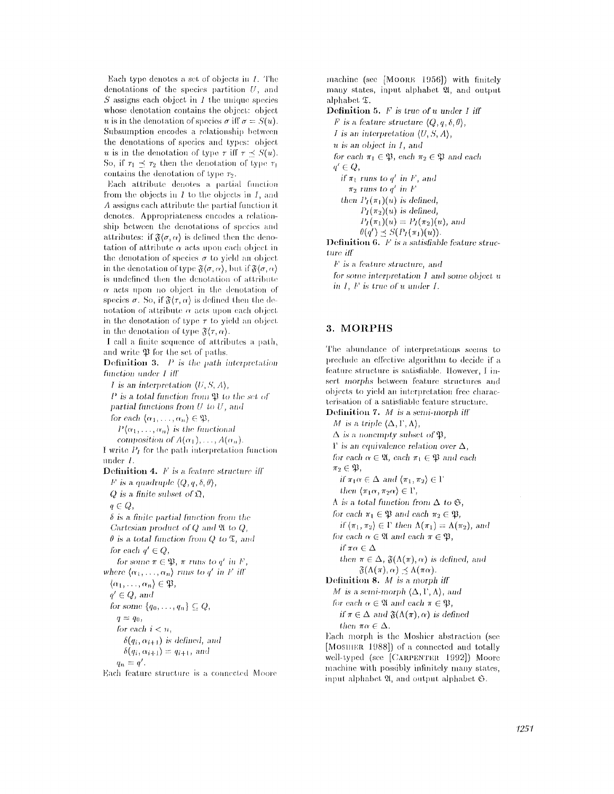Each type denotes a set of objects in  $I$ . The denotations of the species partition  $U$ , and  $S$  assigns each object in  $I$  the unique species whose denotation contains the object: object u is in the denotation of species  $\sigma$  iff  $\sigma = S(u)$ . Subsumption encodes a relationship between the denotations of species and types: object u is in the denotation of type  $\tau$  iff  $\tau \prec S(u)$ . So, if  $\tau_1 \prec \tau_2$  then the denotation of type  $\tau_1$ contains the denotation of type  $\tau_2$ .

Each attribute denotes a partial function from the objects in  $I$  to the objects in  $I$ , and  $\Lambda$  assigns each attribute the partial function it denotes. Appropriateness encodes a relationship between the denotations of species and attributes: if  $\mathfrak{F}\langle \sigma, \alpha \rangle$  is defined then the denotation of attribute  $\alpha$  acts upon each object in the denotation of species  $\sigma$  to yield an object in the denotation of type  $\mathfrak{F}\langle\sigma,\alpha\rangle$ , but if  $\mathfrak{F}\langle\sigma,\alpha\rangle$ is undefined then the denotation of attribute  $\alpha$  acts upon no object in the denotation of species  $\sigma$ . So, if  $\mathfrak{F}\langle \tau, \alpha \rangle$  is defined then the denotation of attribute  $\alpha$  acts upon each object in the denotation of type  $\tau$  to yield an object in the denotation of type  $\mathfrak{F}(\tau,\alpha)$ .

I call a finite sequence of attributes a path, and write  $\mathfrak P$  for the set of paths.

**Definition 3.**  $P$  is the path interpretation function under I iff *I* is an interpretation  $(U, S, A)$ ,

 $P$  is a total function from  $\mathfrak P$  to the set of partial functions from  $U$  to  $U$ , and for each  $\{\alpha_1, \ldots, \alpha_n\} \in \mathfrak{P}$ ,  $P(\alpha_1,\ldots,\alpha_n)$  is the functional composition of  $A(\alpha_1), \ldots, A(\alpha_n)$ . I write  $P_I$  for the path interpretation function under  $l$ . **Definition 4.**  $F$  is a feature structure iff F is a quadruple  $\langle Q, q, \delta, \theta \rangle$ ,  $Q$  is a finite subset of  $\mathfrak{Q}$ ,  $q \in Q$ ,  $\delta$  is a finite partial function from the Cartesian product of  $Q$  and  $\mathfrak A$  to  $Q$ ,  $\theta$  is a total function from Q to  $\mathfrak{T}$ , and for each  $q' \in Q$ , for some  $\pi \in \mathfrak{B}$ ,  $\pi$  runs to  $g'$  in F, where  $\langle \alpha_1, \ldots, \alpha_n \rangle$  runs to q' in F iff  $\langle \alpha_1, \ldots, \alpha_n \rangle \in \mathfrak{P},$  $q' \in Q$ , and for some  $\{q_0, \ldots, q_n\} \subseteq Q$ ,  $q = q_0$ for each  $i < n$ ,  $\delta(q_i, \alpha_{i+1})$  is defined, and  $\delta(q_i, \alpha_{i+1}) = q_{i+1}$ , and  $q_n = q'$ . Each feature structure is a connected Moore machine (see [MOORE 1956]) with finitely many states, input alphabet 21, and output alphabet  $\mathfrak{T}$ .

**Definition 5.**  $F$  is true of  $u$  under  $I$  iff *F* is a feature structure  $\langle Q, q, \delta, \theta \rangle$ , *I* is an interpretation  $(U, S, A)$ ,  $u$  is an object in  $I$ , and for each  $\pi_1 \in \mathfrak{B}$ , each  $\pi_2 \in \mathfrak{B}$  and each  $q' \in Q$ , if  $\pi_1$  runs to q' in F', and  $\pi_2$  runs to q' in F then  $P_I(\pi_1)(u)$  is defined,  $P_I(\pi_2)(u)$  is defined,  $P_I(\pi_1)(u) = P_I(\pi_2)(u)$ , and  $\theta(q') \preceq S(P_I(\pi_1)(u)).$ Definition 6. F is a satisfiable feature structure iff  $F$  is a feature structure, and

for some interpretation  $I$  and some object  $u$ in  $I$ ,  $F$  is true of u under  $I$ .

## 3. MORPHS

The abundance of interpretations seems to preclude an effective algorithm to decide if a feature structure is satisfiable. However, I insert morphs between feature structures and objects to yield an interpretation free characterisation of a satisfiable feature structure. Definition 7.  $M$  is a semi-morph iff M is a triple  $(\Delta, \Gamma, \Lambda)$ ,  $\Delta$  is a nonempty subset of  $\mathfrak{P}$ ,  $\Gamma$  is an equivalence relation over  $\Delta$ , for each  $\alpha \in \mathfrak{A}$ , each  $\pi_1 \in \mathfrak{P}$  and each  $\pi_2 \in \mathfrak{P},$ if  $\pi_1 \alpha \in \Delta$  and  $(\pi_1, \pi_2) \in \Gamma$ then  $\langle \pi_1 \alpha, \pi_2 \alpha \rangle \in \Gamma$ ,  $\Lambda$  is a total function from  $\Delta$  to  $\mathfrak{S}$ , for each  $\pi_1 \in \mathfrak{P}$  and each  $\pi_2 \in \mathfrak{P}$ , if  $\langle \pi_1, \pi_2 \rangle \in \Gamma$  then  $\Lambda(\pi_1) = \Lambda(\pi_2)$ , and for each  $\alpha \in \mathfrak{A}$  and each  $\pi \in \mathfrak{B}$ , if  $\pi \alpha \in \Delta$ then  $\pi \in \Delta$ ,  $\mathfrak{F}(\Lambda(\pi), \alpha)$  is defined, and  $\mathfrak{F}(\Lambda(\pi), \alpha) \preceq \Lambda(\pi \alpha).$ Definition 8. M is a morph iff M is a semi-morph  $(\Delta, \Gamma, \Lambda)$ , and for each  $\alpha \in \mathfrak{A}$  and each  $\pi \in \mathfrak{B}$ , if  $\pi \in \Delta$  and  $\mathfrak{F}(\Lambda(\pi), \alpha)$  is defined then  $\pi \alpha \in \Delta$ . Each morph is the Moshier abstraction (see [MOSHIER 1988]) of a connected and totally well-typed (see [CARPENTER 1992]) Moore machine with possibly infinitely many states, input alphabet 21, and output alphabet 6.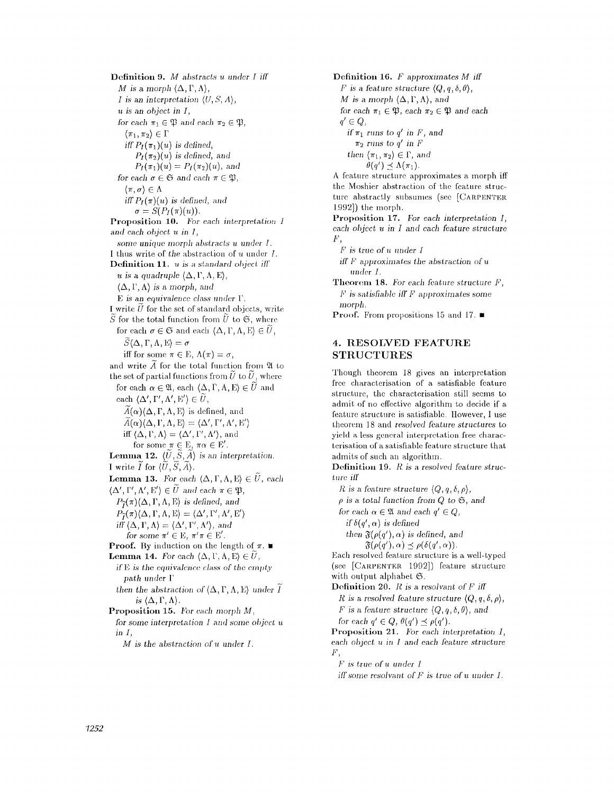Definition *9. M abstracts u under l iff M* is a morph  $(\Delta, \Gamma, \Lambda)$ , *I* is an interpretation  $(U, S, A)$ , *u is an object in I,*  for each  $\pi_1 \in \mathfrak{P}$  and each  $\pi_2 \in \mathfrak{P}$ ,  $\langle \pi_1, \pi_2 \rangle \in \Gamma$ *iff*  $P_I(\pi_1)(u)$  *is defined,*  $P_I(\pi_2)(u)$  is defined, and  $P_I(\pi_1)(u) = P_I(\pi_2)(u)$ , and *for each*  $\sigma \in \mathfrak{S}$  *and each*  $\pi \in \mathfrak{P}$ *,*  $\langle \pi, \sigma \rangle \in \Lambda$ iff  $P_I(\pi)(u)$  is defined, and  $\sigma = S(P_I(\pi)(u)).$ Proposition 10. *l'br each interpretation I and each object u in I, some unique, morph ahstracts u under l.*  I thus write of the abstraction of u under *I*. Definition 11. *u* is a standard object iff *u* is a quadruple  $(\Delta, \Gamma, \Lambda, E)$  $(\Delta, \Gamma, \Lambda)$  is a morph, and E is an *equivalence* c/ass under 1'. I write  $\widetilde{U}$  for the set of standard objects, write  $\tilde{S}$  for the total function from  $\tilde{U}$  to  $\mathfrak{S}$ , where for each  $\sigma \in \mathfrak{S}$  and each  $\langle \Delta, \Gamma, \Lambda, \mathbb{E} \rangle \in \tilde{U}$ ,  $\widetilde{S}(\Delta, \Gamma, \Lambda, E) = \sigma$ iff for some  $\pi \in \mathbb{E}$ ,  $\Lambda(\pi) = \sigma$ , and write  $\widetilde{A}$  for the total function from  $\mathfrak A$  to the set of partial functions from  $\tilde{U}$  to  $\tilde{U}$ , where for each  $\alpha \in \mathfrak{A}$ , each  $\langle \Delta, \Gamma, \Lambda, \mathbb{E} \rangle \in \widetilde{U}$  and each  $\langle \Delta', \Gamma', \Lambda', \mathrm{E}' \rangle \in \widetilde{U}$ ,  $\widetilde{A}(\alpha)(\Delta, \Gamma, \Lambda, E)$  is defined, and  $\widetilde{A}(\alpha)(\Delta, \Gamma, \Lambda, E) = \langle \Delta', \Gamma', \Lambda', E' \rangle$ iff  $(\Delta, \Gamma, \Lambda) = (\Delta', \Gamma', \Lambda')$ , and for some  $\pi \in \mathbb{E}$ ,  $\pi \alpha \in \mathbb{E}'$ . **Lemma 12.**  $\langle \widetilde{U}, \widetilde{S}, \widetilde{A} \rangle$  is an interpretation. I write  $\tilde{I}$  for  $\langle \tilde{U}, \tilde{S}, \tilde{A} \rangle$ . **Lemma 13.** For each  $\langle \Delta, \Gamma, \Lambda, \mathbb{E} \rangle \in \tilde{U}$ , each  $\langle \Delta', \Gamma', \Lambda', \mathbf{E}' \rangle \in \widetilde{U}$  and each  $\pi \in \mathfrak{P}$ ,  $P_{\widetilde{I}}(\pi)(\Delta, \Gamma, \Lambda, E)$  is defined, and  $P_{\widetilde{I}}(\pi)\langle\Delta,\Gamma,\Lambda,E\rangle = \langle\Delta',\Gamma',\Lambda',E'\rangle$  $i\hat{F}(\Delta, \Gamma, \Lambda) = \langle \Delta', \Gamma', \Lambda' \rangle$ , and *for some*  $\pi' \in E$ ,  $\pi' \pi \in E'$ . **Proof.** By induction on the length of  $\pi$ . **Lemma 14.** For each  $(\Delta, \Gamma, \Lambda, E) \in U$ , *if* E *is the equivalence class of the. empty path under* 1' *then the abstraction of*  $(\Delta, \Gamma, \Lambda, E)$  under  $\widetilde{I}$ is  $(\Delta, \Gamma, \Lambda)$ . Proposition 15. For each morph M, *for some interpretation I and some object u in I,*   $M$  is the abstraction of u under I.

Definition 16. F approximates M iff F is a feature *structure*  $\langle Q, q, \delta, \theta \rangle$ , *M* is a morph  $\langle \Delta, \Gamma, \Lambda \rangle$ , and *for each*  $\pi_1 \in \mathfrak{P}$ *, each*  $\pi_2 \in \mathfrak{P}$  *and each*  $q' \in Q$ , *if*  $\pi_1$  runs to  $q'$  *in F*, and  $\pi_2$  runs to  $q'$  in  $\overline{F}$ *then*  $\langle \pi_1, \pi_2 \rangle \in \Gamma$ , and  $\theta(q') \preceq \Lambda(\pi_1).$ A feature structure approximates a morph iff the Moshier abstraction of the feature structure abstractly subsumes (see [CARPENTER] 1992]) the morph. Proposition 17. For *each interpretation I, each ohject u in I and each feature structure F~ F is* true *of a under 1 iff*  $F$  approximates the abstraction of u under I. Theorem 18. For each feature *structure* F,  $F$  is satisfiable iff  $F$  approximates some

## **4. RESOLVED FEATURE STRUCTURES**

**Proof.** From propositions 15 and 17.  $\blacksquare$ 

*morph.* 

Though theorem 18 gives an interpretation free eharacterisation of a satisfiable feature structure, the characterisation still seems to admit of no effective algorithm to decide if a feature structure is satisfiable. However, I use theorem 18 and *resolved feature structures* to yield a less general interpretation free characterisation of a satisfiable feature structure that admits of such an algorithm.

Definition 19. R is a *resolved* feature structure *itr* 

*R* is a feature structure  $\langle Q, q, \delta, \rho \rangle$ ,

*p is a total function from Q to 6,* and

*for each*  $\alpha \in \mathfrak{A}$  *and each*  $q' \in Q$ ,

*if*  $\delta(q', \alpha)$  *is defined* 

*then*  $\mathfrak{F}(\rho(q'), \alpha)$  *is defined, and*  $\mathfrak{F}(\rho(q'), \alpha) \preceq \rho(\delta(q', \alpha)).$ 

Bach resolved feature structure is a well-typed  $(see [CARPENTER 1992])$  feature structure with output alphabet  $\mathfrak{S}$ .

Definition 20. *R* is a resolvant of *F* iff *R* is a resolved feature structure  $(Q, q, \delta, \rho)$ , *F* is a feature *structure*  $\langle Q, q, \delta, \theta \rangle$ , and *for each*  $q' \in Q$ ,  $\theta(q') \preceq \rho(q')$ .

Proposition 21. For each interpretation I, each  $object\ u\ in\ I$  and each feature structure  $F,$ 

*1;' is true of u under 1* 

*iff* some resolvant of F is true of u under I.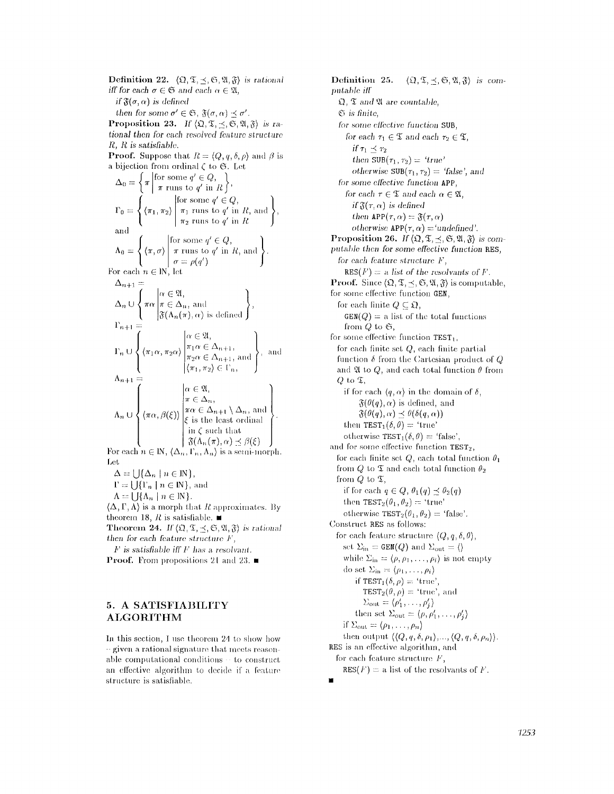**Definition 22.**  $\langle \mathfrak{Q}, \mathfrak{T}, \prec, \mathfrak{S}, \mathfrak{A}, \mathfrak{F} \rangle$  is rational *iff for each*  $\sigma \in \mathfrak{S}$  *and each*  $\alpha \in \mathfrak{A}$ , *if*  $\mathfrak{F}(\sigma, \alpha)$  *is defined then for some*  $\sigma' \in \mathfrak{S}$ ,  $\mathfrak{F}(\sigma, \alpha) \preceq \sigma'$ . **Proposition 23.** If  $\langle \mathfrak{Q}, \mathfrak{T}, \preceq, \mathfrak{S}, \mathfrak{A}, \mathfrak{F} \rangle$  is ra*tional then for each resolved tbature structure*  **R, R is** *satisfiabh'..*  **Proof.** Suppose that  $R = \langle Q, q, \delta, \rho \rangle$  and  $\beta$  is a bijection from ordinal  $\zeta$  to  $\mathfrak{S}$ . Let  $\Delta_0 = \left\{ \pi \middle| \begin{matrix} \text{for some } q \in \mathbb{Q}, \\ \pi \text{ runs to } q' \text{ in } R \end{matrix} \right\}$  $\Gamma_0 = \langle \langle \pi_1, \pi_2 \rangle \mid \pi_1 \text{ runs to } q' \text{ in } R, \text{ and } \rangle,$  $\pi_2$  runs to  $q'$  in  $R$ and  $\Lambda_0 = \langle \langle \pi, \sigma \rangle | \pi \text{ runs to } q' \text{ in } R, \text{ and } \rangle.$  $\sigma = \rho(q')$ For each  $n \in \mathbb{N}$ , let  $\Delta_{n+1} =$  $\Delta_n \cup \langle \pi \alpha | \pi \in \Delta_n$ , and  $\mathfrak{F}(\Lambda_n(\pi), \alpha)$  is defined  $\Gamma_{n+1} =$  $\Gamma_n \cup \left\{ \left\langle \pi_1 \alpha, \pi_2 \alpha \right\rangle \bigg| \frac{\pi_1 \alpha}{\pi_2 \alpha \in \Delta_{n+1}}, \text{ and } \right\}$ , and  $\langle \pi_1, \pi_2 \rangle \in \Gamma_n,$  $\Lambda_{n+1}$  $\alpha \in \mathfrak{A},$  $\pi \in \Delta_n$  $\pi\alpha\in\Delta_{n+1}\setminus\Delta_n,$  and 1  $A_n \circ \bigcup_{i=1}^{n} A_i \circ \bigcup_{i=1}^{n} \bigl| \bigl| \bigl| \bigl| \bigl| \bigl| \bigr| \bigr| \bigr| \in \mathcal{E}$  is the least ordinal f in  $\zeta$  such that  $\beta(\Lambda_n(\pi),\alpha) \preceq \beta(\xi)$ For each  $n \in \mathbb{N}$ ,  $\langle \Delta_n, \Gamma_n, \Lambda_n \rangle$  is a semi-morph.

Let

 $\Delta = \bigcup \{ \Delta_n \mid n \in \mathbb{N} \},$ 

 $\Gamma = \bigcup {\{\Gamma_n \mid n \in \mathbb{N}\}, \text{ and }}$ 

 $\Lambda = \bigcup \{ \Lambda_n \mid n \in \mathbb{N} \}.$ 

 $\langle \Delta, \Gamma, \Lambda \rangle$  is a morph that R approximates. By theorem 18,  $R$  is satisfiable.  $\blacksquare$ **Theorem 24.** *If*  $(\Omega, \mathfrak{T}, \preceq, \mathfrak{S}, \mathfrak{A}, \mathfrak{F})$  is rational

*then tbr each feature structure l", f" is satisfiable ifl" I,' has a. resoh'am.* 

**Proof.** From propositions 21 and 23.  $\blacksquare$ 

## **5. A SATISFIABILITY ALGORITHM**

In this section, I use theorem 24 to show how  $-$  given a rational signature that meets reasonable computational conditions  $\cdot$  to construct an effective algorithm to decide if a feature structure is satisfiable.

Definition 25.  $\langle \Omega, \mathfrak{T}, \preceq, \mathfrak{S}, \mathfrak{A}, \mathfrak{F} \rangle$  is com*putable iff*   $\mathfrak{Q}, \mathfrak{T}$  and  $\mathfrak{A}$  are countable, *0 is finite,*   $for$  *some effective function* **SUB**. *for each*  $\tau_1 \in \mathfrak{T}$  *and each*  $\tau_2 \in \mathfrak{T}$ *, if*  $\tau_1 \prec \tau_2$ *then*  $SUB(\tau_1, \tau_2) = 'true'$ *otherwise*  $SUB(\tau_1, \tau_2) = 'false',$  and for some *elfective* function APP, *for each*  $\tau \in \mathfrak{T}$  *and each*  $\alpha \in \mathfrak{A}$ , *if*  $\mathfrak{F}(r, \alpha)$  *is defined then*  $APP(\tau, \alpha) = \mathfrak{F}(\tau, \alpha)$ *otherwise*  $APP(\tau, \alpha) = 'undefined'.$ Proposition 26. If  $\langle \Omega, \mathfrak{T}, \prec, \mathfrak{S}, \mathfrak{A}, \mathfrak{F} \rangle$  is com*puta.lde then for some effective fimction* RES, *for each feature structure F,*  $RES(F) = a$  *list of the resolvants of F.* **Proof.** Since  $(\Omega, \mathfrak{T}, \prec, \mathfrak{S}, \mathfrak{A}, \mathfrak{F})$  is computable, for some effective function GEN, for each linite  $Q \subseteq \mathfrak{Q}$ ,  $GEN(Q) =$  a list of the total functions from  $Q$  to  $\mathfrak{S},$ for some effective function TEST<sub>1</sub>, for each finite set  $Q$ , each finite partial function  $\delta$  from the Cartesian product of Q and  $\mathfrak A$  to  $Q$ , and each total function  $\theta$  from  $Q$  to  $\mathfrak{T}$ , if for each  $\langle q, \alpha \rangle$  in the domain of  $\delta$ ,  $\mathfrak{F}(\theta(q), \alpha)$  is defined, and  $\mathfrak{F}(\theta(q),\alpha) \preceq \theta(\delta(q,\alpha))$ then  $TEST_1(\delta, \theta) = 'true'$ otherwise  $TEST_1(\delta, \theta) = 'false',$ and for some effective function  $TEST_2$ , for each finite set Q, each total function  $\theta_1$ from Q to  $\mathfrak T$  and each total function  $\theta_2$ from  $Q$  to  $\mathfrak{T}$ , if for each  $q \in Q$ ,  $\theta_1(q) \preceq \theta_2(q)$ then  $TEST_2(\theta_1,\theta_2) = "true"$ otherwise  $TEST_2(\theta_1, \theta_2)$  = 'false'. Construct RES as follows: for each feature structure  $(Q, q, \delta, \theta)$ , set  $\Sigma_{\rm in} =$  GEN(Q) and  $\Sigma_{\rm out} = \langle \rangle$ while  $\Sigma_{\rm in} = \langle \rho, \rho_1, \ldots, \rho_i \rangle$  is not empty do set  $\Sigma_{\rm in} = \langle \rho_1, \ldots, \rho_i \rangle$ if  $TEST_1(\delta, \rho) = 'true',$  $TEST_2(\theta, \rho) = 'true',$  and  $\Sigma_{\text{out}} = \langle \rho'_1,\ldots,\rho'_i \rangle$ **then set**  $\Sigma_{\text{out}} = (\rho, \rho'_1, \ldots, \rho'_s)$ if  $\Sigma_{\text{out}} = \langle \rho_1, \ldots, \rho_n \rangle$ then output  $\langle \langle Q, q, \delta, \rho_1 \rangle, \ldots, \langle Q, q, \delta, \rho_n \rangle \rangle$ . RES is an effective algorithm, and for each feature structure  $F$ ,  $RES(F) = a$  list of the resolvants of F. ii

*1253*